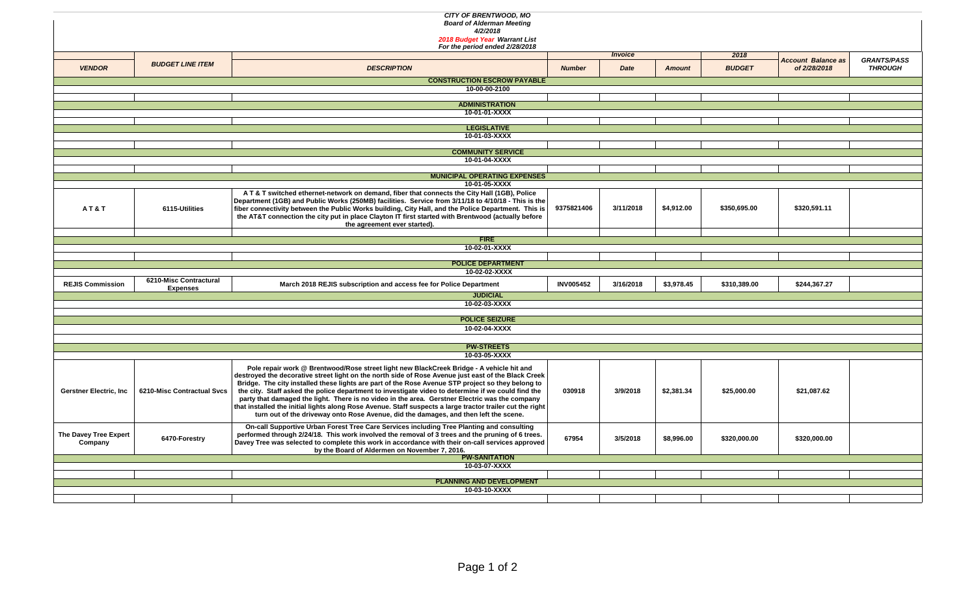| <b>CITY OF BRENTWOOD, MO</b>       |                            |                                                                                                                                                                                                            |                  |           |               |               |                                           |                                      |  |  |  |  |  |
|------------------------------------|----------------------------|------------------------------------------------------------------------------------------------------------------------------------------------------------------------------------------------------------|------------------|-----------|---------------|---------------|-------------------------------------------|--------------------------------------|--|--|--|--|--|
| <b>Board of Alderman Meeting</b>   |                            |                                                                                                                                                                                                            |                  |           |               |               |                                           |                                      |  |  |  |  |  |
|                                    |                            | 4/2/2018<br>2018 Budget Year Warrant List                                                                                                                                                                  |                  |           |               |               |                                           |                                      |  |  |  |  |  |
| For the period ended 2/28/2018     |                            |                                                                                                                                                                                                            |                  |           |               |               |                                           |                                      |  |  |  |  |  |
|                                    |                            |                                                                                                                                                                                                            | <b>Invoice</b>   |           |               | 2018          |                                           |                                      |  |  |  |  |  |
| <b>VENDOR</b>                      | <b>BUDGET LINE ITEM</b>    | <b>DESCRIPTION</b>                                                                                                                                                                                         | <b>Number</b>    | Date      | <b>Amount</b> | <b>BUDGET</b> | <b>Account Balance as</b><br>of 2/28/2018 | <b>GRANTS/PASS</b><br><b>THROUGH</b> |  |  |  |  |  |
|                                    |                            |                                                                                                                                                                                                            |                  |           |               |               |                                           |                                      |  |  |  |  |  |
| <b>CONSTRUCTION ESCROW PAYABLE</b> |                            |                                                                                                                                                                                                            |                  |           |               |               |                                           |                                      |  |  |  |  |  |
| 10-00-00-2100                      |                            |                                                                                                                                                                                                            |                  |           |               |               |                                           |                                      |  |  |  |  |  |
| <b>ADMINISTRATION</b>              |                            |                                                                                                                                                                                                            |                  |           |               |               |                                           |                                      |  |  |  |  |  |
| 10-01-01-XXXX                      |                            |                                                                                                                                                                                                            |                  |           |               |               |                                           |                                      |  |  |  |  |  |
|                                    |                            |                                                                                                                                                                                                            |                  |           |               |               |                                           |                                      |  |  |  |  |  |
| <b>LEGISLATIVE</b>                 |                            |                                                                                                                                                                                                            |                  |           |               |               |                                           |                                      |  |  |  |  |  |
| 10-01-03-XXXX                      |                            |                                                                                                                                                                                                            |                  |           |               |               |                                           |                                      |  |  |  |  |  |
|                                    |                            | <b>COMMUNITY SERVICE</b>                                                                                                                                                                                   |                  |           |               |               |                                           |                                      |  |  |  |  |  |
|                                    |                            | 10-01-04-XXXX                                                                                                                                                                                              |                  |           |               |               |                                           |                                      |  |  |  |  |  |
|                                    |                            |                                                                                                                                                                                                            |                  |           |               |               |                                           |                                      |  |  |  |  |  |
|                                    |                            | <b>MUNICIPAL OPERATING EXPENSES</b>                                                                                                                                                                        |                  |           |               |               |                                           |                                      |  |  |  |  |  |
|                                    |                            | 10-01-05-XXXX                                                                                                                                                                                              |                  |           |               |               |                                           |                                      |  |  |  |  |  |
|                                    |                            | A T & T switched ethernet-network on demand, fiber that connects the City Hall (1GB), Police                                                                                                               |                  |           |               |               |                                           |                                      |  |  |  |  |  |
| AT&T                               | 6115-Utilities             | Department (1GB) and Public Works (250MB) facilities. Service from 3/11/18 to 4/10/18 - This is the<br>fiber connectivity between the Public Works building, City Hall, and the Police Department. This is | 9375821406       | 3/11/2018 | \$4,912.00    | \$350,695.00  | \$320,591.11                              |                                      |  |  |  |  |  |
|                                    |                            | the AT&T connection the city put in place Clayton IT first started with Brentwood (actually before                                                                                                         |                  |           |               |               |                                           |                                      |  |  |  |  |  |
|                                    |                            | the agreement ever started).                                                                                                                                                                               |                  |           |               |               |                                           |                                      |  |  |  |  |  |
|                                    |                            |                                                                                                                                                                                                            |                  |           |               |               |                                           |                                      |  |  |  |  |  |
|                                    |                            | <b>FIRE</b><br>10-02-01-XXXX                                                                                                                                                                               |                  |           |               |               |                                           |                                      |  |  |  |  |  |
|                                    |                            |                                                                                                                                                                                                            |                  |           |               |               |                                           |                                      |  |  |  |  |  |
|                                    |                            | <b>POLICE DEPARTMENT</b>                                                                                                                                                                                   |                  |           |               |               |                                           |                                      |  |  |  |  |  |
|                                    |                            | 10-02-02-XXXX                                                                                                                                                                                              |                  |           |               |               |                                           |                                      |  |  |  |  |  |
| <b>REJIS Commission</b>            | 6210-Misc Contractural     | March 2018 REJIS subscription and access fee for Police Department                                                                                                                                         | <b>INV005452</b> | 3/16/2018 | \$3.978.45    | \$310,389,00  | \$244,367.27                              |                                      |  |  |  |  |  |
|                                    | <b>Expenses</b>            | <b>JUDICIAL</b>                                                                                                                                                                                            |                  |           |               |               |                                           |                                      |  |  |  |  |  |
|                                    |                            | 10-02-03-XXXX                                                                                                                                                                                              |                  |           |               |               |                                           |                                      |  |  |  |  |  |
|                                    |                            |                                                                                                                                                                                                            |                  |           |               |               |                                           |                                      |  |  |  |  |  |
|                                    |                            | <b>POLICE SEIZURE</b>                                                                                                                                                                                      |                  |           |               |               |                                           |                                      |  |  |  |  |  |
|                                    |                            | 10-02-04-XXXX                                                                                                                                                                                              |                  |           |               |               |                                           |                                      |  |  |  |  |  |
|                                    |                            |                                                                                                                                                                                                            |                  |           |               |               |                                           |                                      |  |  |  |  |  |
|                                    |                            | <b>PW-STREETS</b>                                                                                                                                                                                          |                  |           |               |               |                                           |                                      |  |  |  |  |  |
|                                    |                            | 10-03-05-XXXX                                                                                                                                                                                              |                  |           |               |               |                                           |                                      |  |  |  |  |  |
|                                    |                            | Pole repair work @ Brentwood/Rose street light new BlackCreek Bridge - A vehicle hit and                                                                                                                   |                  |           |               |               |                                           |                                      |  |  |  |  |  |
|                                    |                            | destroyed the decorative street light on the north side of Rose Avenue just east of the Black Creek                                                                                                        |                  |           |               |               |                                           |                                      |  |  |  |  |  |
|                                    | 6210-Misc Contractual Svcs | Bridge. The city installed these lights are part of the Rose Avenue STP project so they belong to                                                                                                          |                  |           | \$2,381.34    |               |                                           |                                      |  |  |  |  |  |
| Gerstner Electric, Inc.            |                            | the city. Staff asked the police department to investigate video to determine if we could find the<br>party that damaged the light. There is no video in the area. Gerstner Electric was the company       | 030918           | 3/9/2018  |               | \$25,000.00   | \$21,087.62                               |                                      |  |  |  |  |  |
|                                    |                            | that installed the initial lights along Rose Avenue. Staff suspects a large tractor trailer cut the right                                                                                                  |                  |           |               |               |                                           |                                      |  |  |  |  |  |
|                                    |                            | turn out of the driveway onto Rose Avenue, did the damages, and then left the scene.                                                                                                                       |                  |           |               |               |                                           |                                      |  |  |  |  |  |
|                                    |                            | On-call Supportive Urban Forest Tree Care Services including Tree Planting and consulting                                                                                                                  |                  |           |               |               |                                           |                                      |  |  |  |  |  |
| The Davey Tree Expert              |                            | performed through 2/24/18. This work involved the removal of 3 trees and the pruning of 6 trees.                                                                                                           |                  |           |               |               |                                           |                                      |  |  |  |  |  |
| Company                            | 6470-Forestry              | Davey Tree was selected to complete this work in accordance with their on-call services approved                                                                                                           | 67954            | 3/5/2018  | \$8,996.00    | \$320,000.00  | \$320,000.00                              |                                      |  |  |  |  |  |
|                                    |                            | by the Board of Aldermen on November 7, 2016.                                                                                                                                                              |                  |           |               |               |                                           |                                      |  |  |  |  |  |
|                                    |                            | <b>PW-SANITATION</b><br>10-03-07-XXXX                                                                                                                                                                      |                  |           |               |               |                                           |                                      |  |  |  |  |  |
|                                    |                            |                                                                                                                                                                                                            |                  |           |               |               |                                           |                                      |  |  |  |  |  |
|                                    |                            | <b>PLANNING AND DEVELOPMENT</b>                                                                                                                                                                            |                  |           |               |               |                                           |                                      |  |  |  |  |  |
| 10-03-10-XXXX                      |                            |                                                                                                                                                                                                            |                  |           |               |               |                                           |                                      |  |  |  |  |  |
|                                    |                            |                                                                                                                                                                                                            |                  |           |               |               |                                           |                                      |  |  |  |  |  |